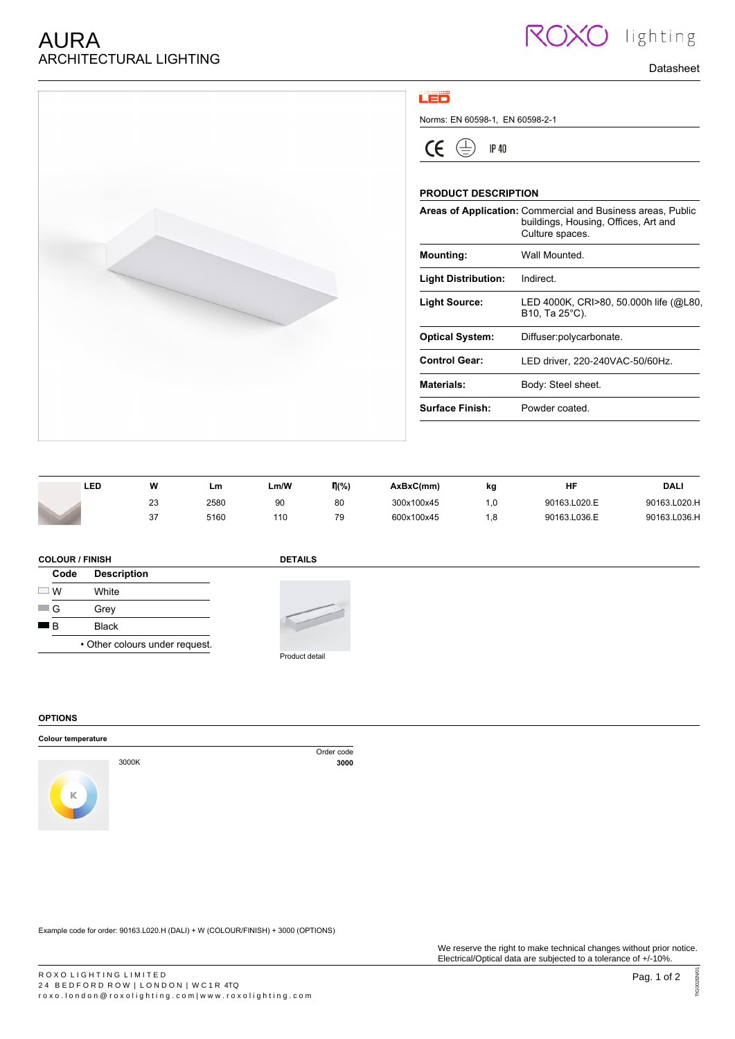

## LED

Norms: EN 60598-1, EN 60598-2-1

 $\bigoplus$  $\epsilon$ **IP 40** 

## **PRODUCT DESCRIPTION**

|                            | Areas of Application: Commercial and Business areas, Public<br>buildings, Housing, Offices, Art and<br>Culture spaces. |
|----------------------------|------------------------------------------------------------------------------------------------------------------------|
| <b>Mounting:</b>           | Wall Mounted                                                                                                           |
| <b>Light Distribution:</b> | Indirect.                                                                                                              |
| <b>Light Source:</b>       | LED 4000K, CRI>80, 50.000h life (@L80,<br>B10, Ta 25 C).                                                               |
| <b>Optical System:</b>     | Diffuser:polycarbonate.                                                                                                |
| <b>Control Gear:</b>       | LED driver, 220-240VAC-50/60Hz.                                                                                        |
| Materials:                 | Body: Steel sheet.                                                                                                     |
| Surface Finish:            | Powder coated                                                                                                          |
|                            |                                                                                                                        |

Datasheet

**10** lighting

| LED | w             | Lm   | Lm/W | $\mathsf{\eta}(\%)$ | AxBxC(mm)  | kg   | HF           | DALI         |
|-----|---------------|------|------|---------------------|------------|------|--------------|--------------|
|     | nn.<br>23     | 2580 | 90   | 80                  | 300x100x45 | 0.،  | 90163.L020.E | 90163.L020.H |
|     | $\sim$<br>، ب | 5160 | 110  | 79                  | 600x100x45 | . .8 | 90163.L036.E | 90163.L036.H |

## **COLOUR / FINISH**

## **DETAILS**

|       | .                              |
|-------|--------------------------------|
| Code  | <b>Description</b>             |
| $-$ W | White                          |
| G     | Grev                           |
| ■R    | Black                          |
|       | • Other colours under request. |



**OPTIONS**

#### **Colour temperature**



Order code<br>3000 3000K **3000**

Example code for order: 90163.L020.H (DALI) + W (COLOUR/FINISH) + 3000 (OPTIONS)

TIG002EN/01

TIG002EN/0